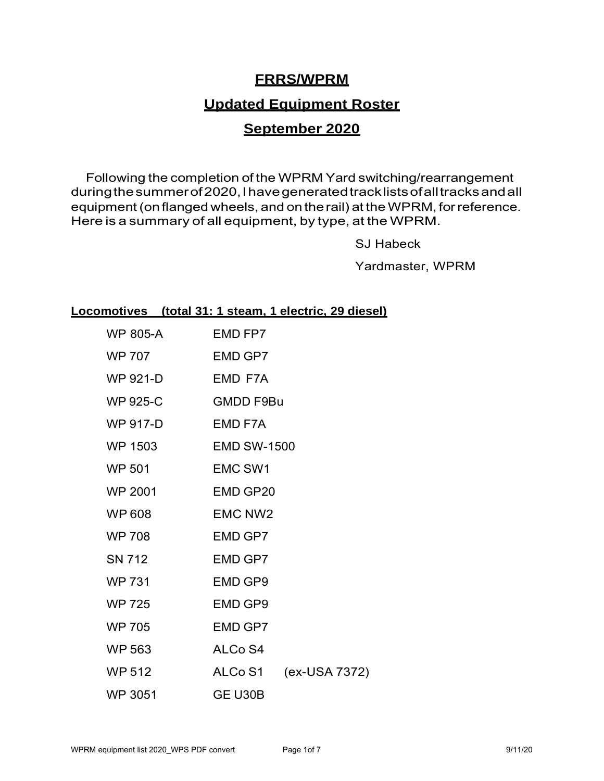## **FRRS/WPRM**

# **Updated Equipment Roster**

#### **September 2020**

Following the completion of the WPRM Yard switching/rearrangement duringthesummerof2020,Ihavegeneratedtracklistsofalltracksandall equipment (on flanged wheels, and on the rail) at the WPRM, for reference. Here is a summary of all equipment, by type, at the WPRM.

SJ Habeck

Yardmaster, WPRM

#### **Locomotives (total 31: 1 steam, 1 electric, 29 diesel)**

| <b>WP 805-A</b> | <b>EMD FP7</b>     |               |
|-----------------|--------------------|---------------|
| WP 707          | <b>EMD GP7</b>     |               |
| <b>WP 921-D</b> | EMD F7A            |               |
| <b>WP 925-C</b> | <b>GMDD F9Bu</b>   |               |
| <b>WP 917-D</b> | EMD F7A            |               |
| <b>WP 1503</b>  | <b>EMD SW-1500</b> |               |
| <b>WP 501</b>   | <b>EMC SW1</b>     |               |
| <b>WP 2001</b>  | <b>EMD GP20</b>    |               |
| <b>WP608</b>    | <b>EMC NW2</b>     |               |
| <b>WP 708</b>   | <b>EMD GP7</b>     |               |
| <b>SN 712</b>   | <b>EMD GP7</b>     |               |
| <b>WP 731</b>   | <b>EMD GP9</b>     |               |
| <b>WP 725</b>   | <b>EMD GP9</b>     |               |
| <b>WP 705</b>   | <b>EMD GP7</b>     |               |
| <b>WP 563</b>   | ALCo <sub>S4</sub> |               |
| <b>WP 512</b>   | ALCo S1            | (ex-USA 7372) |
| WP 3051         | <b>GE U30B</b>     |               |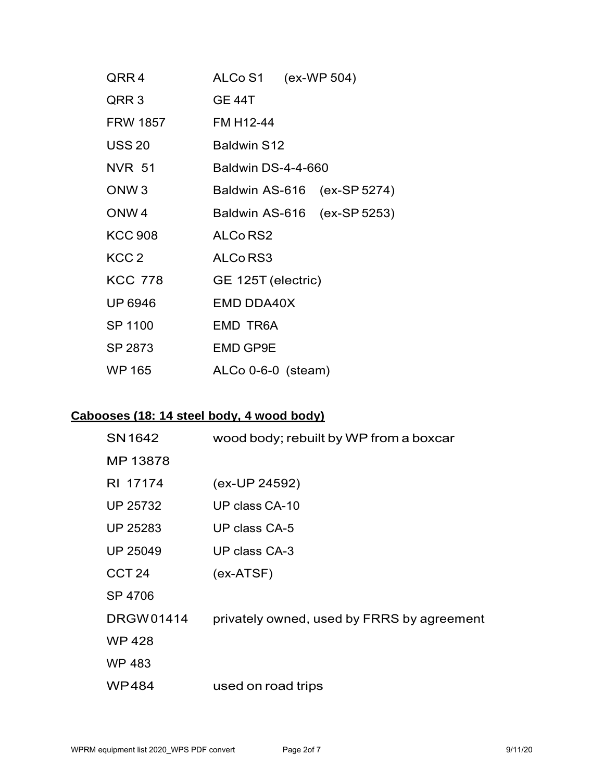| QRR 4            | ALCo S1                   | $(ex-WP 504)$               |
|------------------|---------------------------|-----------------------------|
| QRR <sub>3</sub> | <b>GE 44T</b>             |                             |
| <b>FRW 1857</b>  | <b>FM H12-44</b>          |                             |
| <b>USS 20</b>    | <b>Baldwin S12</b>        |                             |
| <b>NVR 51</b>    | <b>Baldwin DS-4-4-660</b> |                             |
| ONW <sub>3</sub> | Baldwin AS-616            | $(ex-SP 5274)$              |
| ONW <sub>4</sub> |                           | Baldwin AS-616 (ex-SP 5253) |
| <b>KCC 908</b>   | ALCo RS2                  |                             |
| KCC <sub>2</sub> | ALCoRS3                   |                             |
| <b>KCC 778</b>   | GE 125T (electric)        |                             |
| <b>UP 6946</b>   | <b>EMD DDA40X</b>         |                             |
| SP 1100          | <b>EMD TR6A</b>           |                             |
| SP 2873          | <b>EMD GP9E</b>           |                             |
| <b>WP 165</b>    | ALCo 0-6-0 (steam)        |                             |

# **Cabooses (18: 14 steel body, 4 wood body)**

| SN 1642          | wood body; rebuilt by WP from a boxcar     |
|------------------|--------------------------------------------|
| MP 13878         |                                            |
| RI 17174         | (ex-UP 24592)                              |
| UP 25732         | UP class CA-10                             |
| UP 25283         | UP class CA-5                              |
| UP 25049         | UP class CA-3                              |
| CCT 24           | $(ex-ATSF)$                                |
| SP 4706          |                                            |
| <b>DRGW01414</b> | privately owned, used by FRRS by agreement |
| WP 428           |                                            |
| WP 483           |                                            |
| WP484            | used on road trips                         |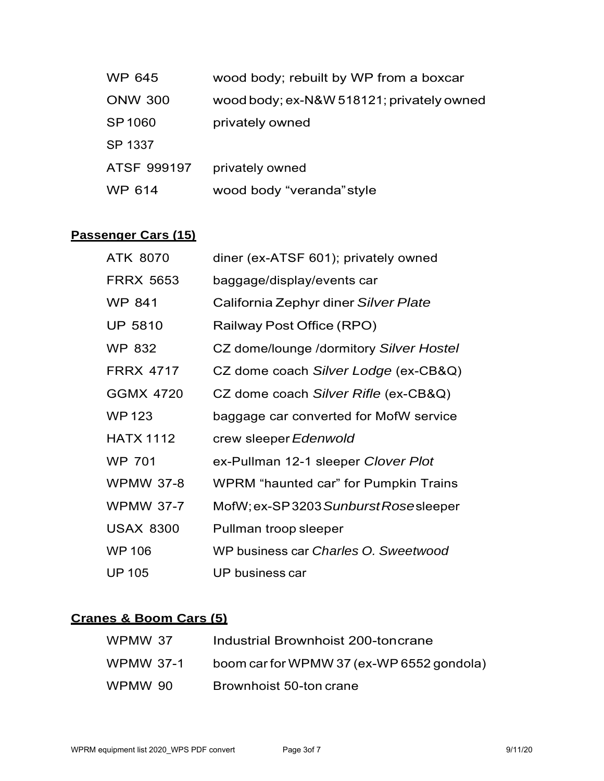| WP 645         | wood body; rebuilt by WP from a boxcar    |
|----------------|-------------------------------------------|
| <b>ONW 300</b> | wood body; ex-N&W 518121; privately owned |
| SP 1060        | privately owned                           |
| SP 1337        |                                           |
| ATSF 999197    | privately owned                           |
| WP 614         | wood body "veranda" style                 |

# **Passenger Cars (15)**

| ATK 8070         | diner (ex-ATSF 601); privately owned         |
|------------------|----------------------------------------------|
| <b>FRRX 5653</b> | baggage/display/events car                   |
| <b>WP 841</b>    | California Zephyr diner Silver Plate         |
| <b>UP 5810</b>   | Railway Post Office (RPO)                    |
| <b>WP 832</b>    | CZ dome/lounge /dormitory Silver Hostel      |
| <b>FRRX 4717</b> | CZ dome coach Silver Lodge (ex-CB&Q)         |
| <b>GGMX 4720</b> | CZ dome coach Silver Rifle (ex-CB&Q)         |
| <b>WP123</b>     | baggage car converted for MofW service       |
| <b>HATX 1112</b> | crew sleeper Edenwold                        |
| <b>WP 701</b>    | ex-Pullman 12-1 sleeper Clover Plot          |
| <b>WPMW 37-8</b> | <b>WPRM</b> "haunted car" for Pumpkin Trains |
| <b>WPMW 37-7</b> | MofW; ex-SP 3203 Sunburst Rosesleeper        |
| <b>USAX 8300</b> | Pullman troop sleeper                        |
| <b>WP 106</b>    | WP business car Charles O. Sweetwood         |
| <b>UP 105</b>    | UP business car                              |

# **Cranes & Boom Cars (5)**

| WPMW 37   | Industrial Brownhoist 200-toncrane        |
|-----------|-------------------------------------------|
| WPMW 37-1 | boom car for WPMW 37 (ex-WP 6552 gondola) |
| WPMW 90   | Brownhoist 50-ton crane                   |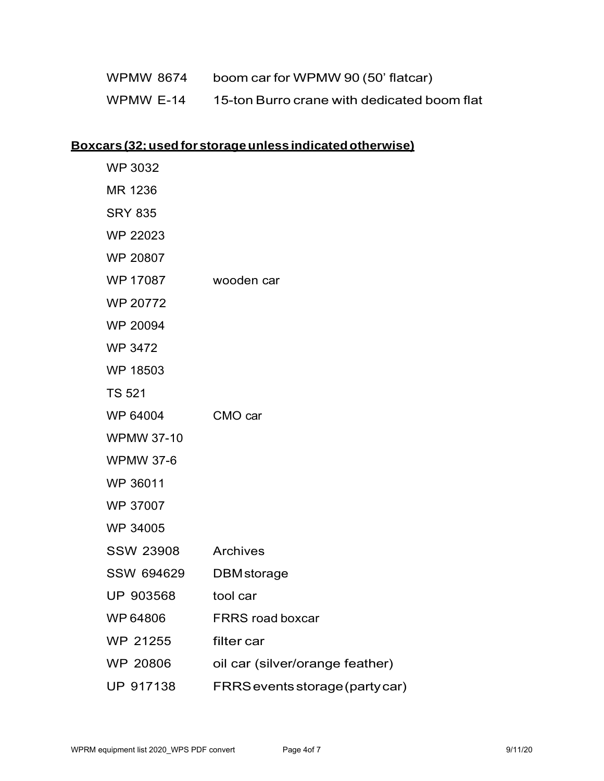- WPMW 8674 boom car for WPMW 90 (50' flatcar)
- WPMW E-14 15-ton Burro crane with dedicated boom flat

#### **Boxcars (32;used for storageunless indicatedotherwise)**

| <b>WP 3032</b>    |                                 |
|-------------------|---------------------------------|
| MR 1236           |                                 |
| <b>SRY 835</b>    |                                 |
| <b>WP 22023</b>   |                                 |
| <b>WP 20807</b>   |                                 |
| <b>WP 17087</b>   | wooden car                      |
| <b>WP 20772</b>   |                                 |
| <b>WP 20094</b>   |                                 |
| <b>WP 3472</b>    |                                 |
| <b>WP 18503</b>   |                                 |
| <b>TS 521</b>     |                                 |
| WP 64004          | CMO car                         |
| <b>WPMW 37-10</b> |                                 |
| <b>WPMW 37-6</b>  |                                 |
| WP 36011          |                                 |
| <b>WP 37007</b>   |                                 |
| <b>WP 34005</b>   |                                 |
| SSW 23908         | Archives                        |
| SSW 694629        | <b>DBM</b> storage              |
| UP 903568         | tool car                        |
| WP 64806          | <b>FRRS</b> road boxcar         |
| <b>WP 21255</b>   | filter car                      |
| <b>WP 20806</b>   | oil car (silver/orange feather) |
| UP 917138         | FRRS events storage (party car) |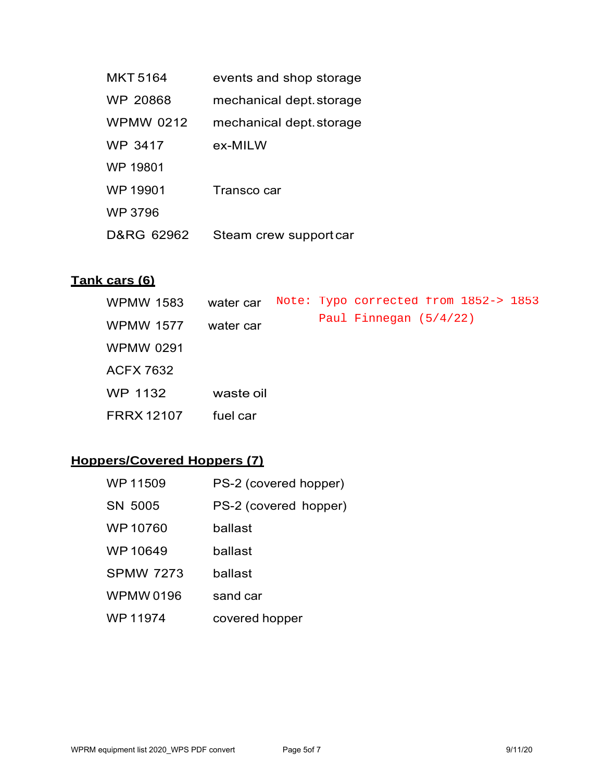| <b>MKT5164</b>   | events and shop storage |
|------------------|-------------------------|
| WP 20868         | mechanical dept storage |
| <b>WPMW 0212</b> | mechanical dept storage |
| <b>WP 3417</b>   | ex-MILW                 |
| WP 19801         |                         |
| WP 19901         | Transco car             |
| WP 3796          |                         |
| D&RG 62962       | Steam crew support car  |

## **Tank cars (6)**

| WPMW 1583         | water car |  | Note: Typo corrected from 1852-> 1853 |  |  |
|-------------------|-----------|--|---------------------------------------|--|--|
| <b>WPMW 1577</b>  | water car |  | Paul Finnegan $(5/4/22)$              |  |  |
| WPMW 0291         |           |  |                                       |  |  |
| <b>ACFX 7632</b>  |           |  |                                       |  |  |
| WP 1132           | waste oil |  |                                       |  |  |
| <b>FRRX 12107</b> | fuel car  |  |                                       |  |  |

# **Hoppers/Covered Hoppers (7)**

| <b>WP11509</b>   | PS-2 (covered hopper) |
|------------------|-----------------------|
| SN 5005          | PS-2 (covered hopper) |
| WP 10760         | ballast               |
| WP 10649         | ballast               |
| <b>SPMW 7273</b> | ballast               |
| <b>WPMW0196</b>  | sand car              |
| <b>WP 11974</b>  | covered hopper        |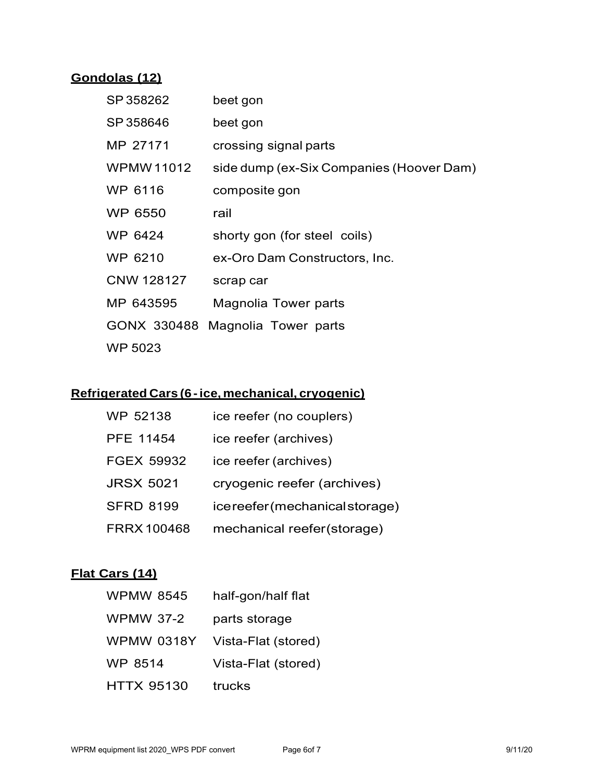### **Gondolas (12)**

| SP 358262         | beet gon                                 |
|-------------------|------------------------------------------|
| SP 358646         | beet gon                                 |
| MP 27171          | crossing signal parts                    |
| <b>WPMW11012</b>  | side dump (ex-Six Companies (Hoover Dam) |
| WP 6116           | composite gon                            |
| WP 6550           | rail                                     |
| WP 6424           | shorty gon (for steel coils)             |
| WP 6210           | ex-Oro Dam Constructors, Inc.            |
| <b>CNW 128127</b> | scrap car                                |
| MP 643595         | Magnolia Tower parts                     |
| GONX 330488       | Magnolia Tower parts                     |
| WP 5023           |                                          |

#### **Refrigerated Cars (6 -ice, mechanical, cryogenic)**

| <b>WP 52138</b>    | ice reefer (no couplers)       |
|--------------------|--------------------------------|
| PFE 11454          | ice reefer (archives)          |
| FGEX 59932         | ice reefer (archives)          |
| <b>JRSX 5021</b>   | cryogenic reefer (archives)    |
| <b>SFRD 8199</b>   | icereefer (mechanical storage) |
| <b>FRRX 100468</b> | mechanical reefer(storage)     |

# **Flat Cars (14)**

| <b>WPMW 8545</b>  | half-gon/half flat  |
|-------------------|---------------------|
| <b>WPMW 37-2</b>  | parts storage       |
| <b>WPMW 0318Y</b> | Vista-Flat (stored) |
| <b>WP 8514</b>    | Vista-Flat (stored) |
| <b>HTTX 95130</b> | trucks              |